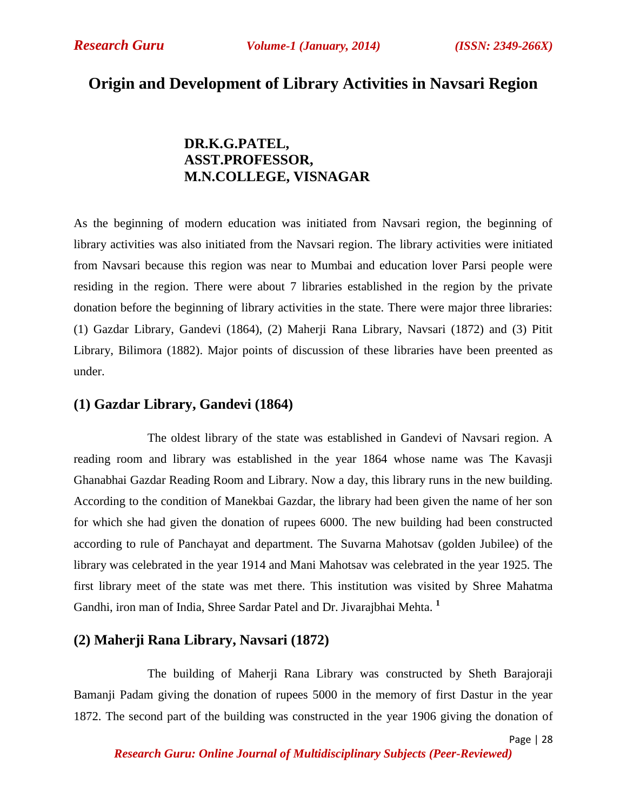# **Origin and Development of Library Activities in Navsari Region**

# **DR.K.G.PATEL, ASST.PROFESSOR, M.N.COLLEGE, VISNAGAR**

As the beginning of modern education was initiated from Navsari region, the beginning of library activities was also initiated from the Navsari region. The library activities were initiated from Navsari because this region was near to Mumbai and education lover Parsi people were residing in the region. There were about 7 libraries established in the region by the private donation before the beginning of library activities in the state. There were major three libraries: (1) Gazdar Library, Gandevi (1864), (2) Maherji Rana Library, Navsari (1872) and (3) Pitit Library, Bilimora (1882). Major points of discussion of these libraries have been preented as under.

### **(1) Gazdar Library, Gandevi (1864)**

The oldest library of the state was established in Gandevi of Navsari region. A reading room and library was established in the year 1864 whose name was The Kavasji Ghanabhai Gazdar Reading Room and Library. Now a day, this library runs in the new building. According to the condition of Manekbai Gazdar, the library had been given the name of her son for which she had given the donation of rupees 6000. The new building had been constructed according to rule of Panchayat and department. The Suvarna Mahotsav (golden Jubilee) of the library was celebrated in the year 1914 and Mani Mahotsav was celebrated in the year 1925. The first library meet of the state was met there. This institution was visited by Shree Mahatma Gandhi, iron man of India, Shree Sardar Patel and Dr. Jivarajbhai Mehta. **<sup>1</sup>**

# **(2) Maherji Rana Library, Navsari (1872)**

The building of Maherji Rana Library was constructed by Sheth Barajoraji Bamanji Padam giving the donation of rupees 5000 in the memory of first Dastur in the year 1872. The second part of the building was constructed in the year 1906 giving the donation of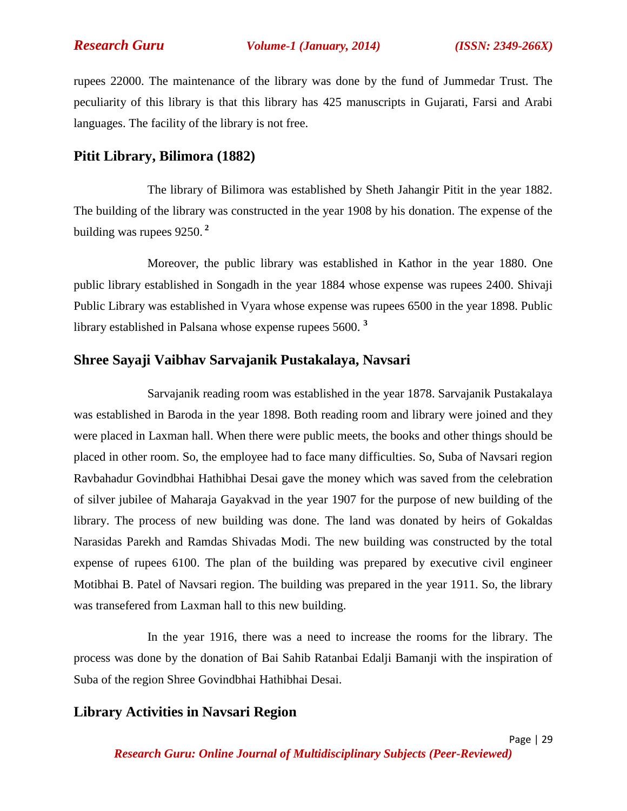*Research Guru Volume-1 (January, 2014) (ISSN: 2349-266X)*

rupees 22000. The maintenance of the library was done by the fund of Jummedar Trust. The peculiarity of this library is that this library has 425 manuscripts in Gujarati, Farsi and Arabi languages. The facility of the library is not free.

## **Pitit Library, Bilimora (1882)**

The library of Bilimora was established by Sheth Jahangir Pitit in the year 1882. The building of the library was constructed in the year 1908 by his donation. The expense of the building was rupees 9250. **<sup>2</sup>**

Moreover, the public library was established in Kathor in the year 1880. One public library established in Songadh in the year 1884 whose expense was rupees 2400. Shivaji Public Library was established in Vyara whose expense was rupees 6500 in the year 1898. Public library established in Palsana whose expense rupees 5600. **<sup>3</sup>**

### **Shree Sayaji Vaibhav Sarvajanik Pustakalaya, Navsari**

Sarvajanik reading room was established in the year 1878. Sarvajanik Pustakalaya was established in Baroda in the year 1898. Both reading room and library were joined and they were placed in Laxman hall. When there were public meets, the books and other things should be placed in other room. So, the employee had to face many difficulties. So, Suba of Navsari region Ravbahadur Govindbhai Hathibhai Desai gave the money which was saved from the celebration of silver jubilee of Maharaja Gayakvad in the year 1907 for the purpose of new building of the library. The process of new building was done. The land was donated by heirs of Gokaldas Narasidas Parekh and Ramdas Shivadas Modi. The new building was constructed by the total expense of rupees 6100. The plan of the building was prepared by executive civil engineer Motibhai B. Patel of Navsari region. The building was prepared in the year 1911. So, the library was transefered from Laxman hall to this new building.

In the year 1916, there was a need to increase the rooms for the library. The process was done by the donation of Bai Sahib Ratanbai Edalji Bamanji with the inspiration of Suba of the region Shree Govindbhai Hathibhai Desai.

# **Library Activities in Navsari Region**

*Research Guru: Online Journal of Multidisciplinary Subjects (Peer-Reviewed)*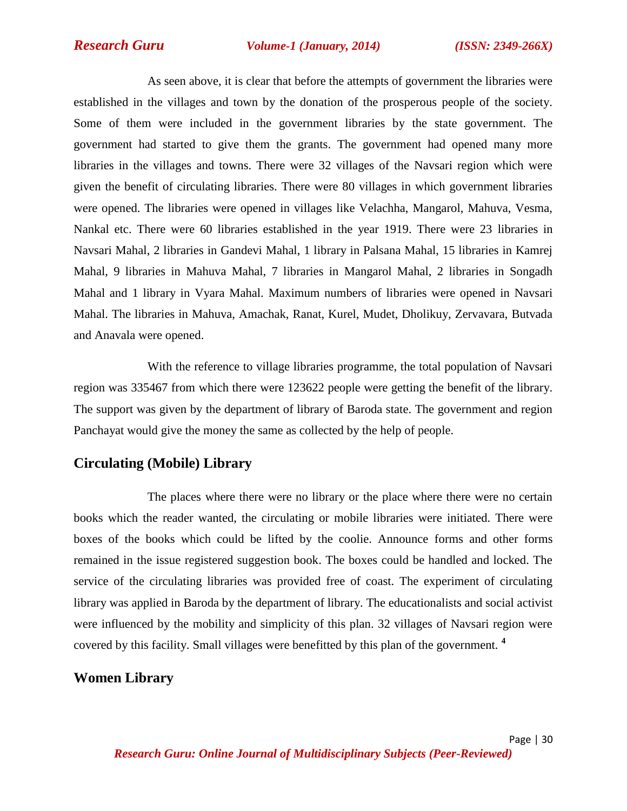*Research Guru Volume-1 (January, 2014) (ISSN: 2349-266X)*

As seen above, it is clear that before the attempts of government the libraries were established in the villages and town by the donation of the prosperous people of the society. Some of them were included in the government libraries by the state government. The government had started to give them the grants. The government had opened many more libraries in the villages and towns. There were 32 villages of the Navsari region which were given the benefit of circulating libraries. There were 80 villages in which government libraries were opened. The libraries were opened in villages like Velachha, Mangarol, Mahuva, Vesma, Nankal etc. There were 60 libraries established in the year 1919. There were 23 libraries in Navsari Mahal, 2 libraries in Gandevi Mahal, 1 library in Palsana Mahal, 15 libraries in Kamrej Mahal, 9 libraries in Mahuva Mahal, 7 libraries in Mangarol Mahal, 2 libraries in Songadh Mahal and 1 library in Vyara Mahal. Maximum numbers of libraries were opened in Navsari Mahal. The libraries in Mahuva, Amachak, Ranat, Kurel, Mudet, Dholikuy, Zervavara, Butvada and Anavala were opened.

With the reference to village libraries programme, the total population of Navsari region was 335467 from which there were 123622 people were getting the benefit of the library. The support was given by the department of library of Baroda state. The government and region Panchayat would give the money the same as collected by the help of people.

# **Circulating (Mobile) Library**

The places where there were no library or the place where there were no certain books which the reader wanted, the circulating or mobile libraries were initiated. There were boxes of the books which could be lifted by the coolie. Announce forms and other forms remained in the issue registered suggestion book. The boxes could be handled and locked. The service of the circulating libraries was provided free of coast. The experiment of circulating library was applied in Baroda by the department of library. The educationalists and social activist were influenced by the mobility and simplicity of this plan. 32 villages of Navsari region were covered by this facility. Small villages were benefitted by this plan of the government. **<sup>4</sup>**

## **Women Library**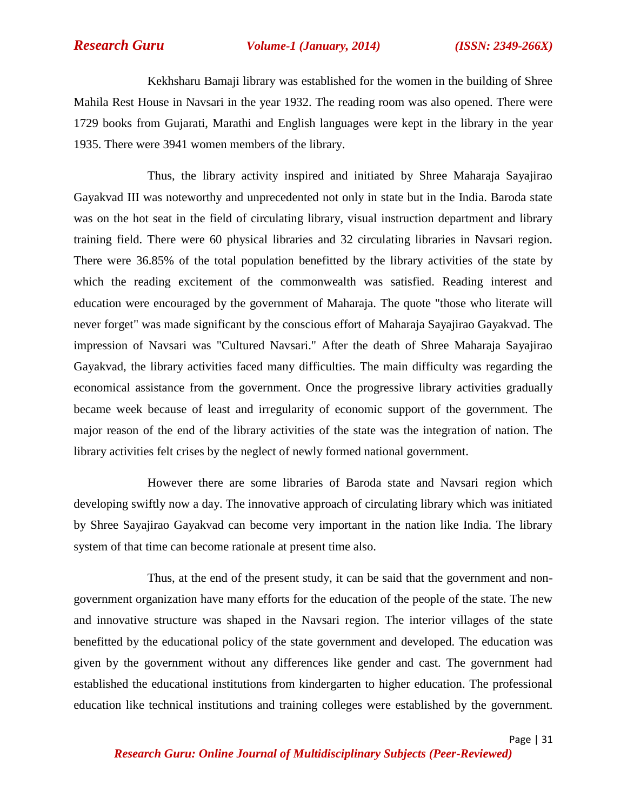*Research Guru Volume-1 (January, 2014) (ISSN: 2349-266X)*

Kekhsharu Bamaji library was established for the women in the building of Shree Mahila Rest House in Navsari in the year 1932. The reading room was also opened. There were 1729 books from Gujarati, Marathi and English languages were kept in the library in the year 1935. There were 3941 women members of the library.

Thus, the library activity inspired and initiated by Shree Maharaja Sayajirao Gayakvad III was noteworthy and unprecedented not only in state but in the India. Baroda state was on the hot seat in the field of circulating library, visual instruction department and library training field. There were 60 physical libraries and 32 circulating libraries in Navsari region. There were 36.85% of the total population benefitted by the library activities of the state by which the reading excitement of the commonwealth was satisfied. Reading interest and education were encouraged by the government of Maharaja. The quote "those who literate will never forget" was made significant by the conscious effort of Maharaja Sayajirao Gayakvad. The impression of Navsari was "Cultured Navsari." After the death of Shree Maharaja Sayajirao Gayakvad, the library activities faced many difficulties. The main difficulty was regarding the economical assistance from the government. Once the progressive library activities gradually became week because of least and irregularity of economic support of the government. The major reason of the end of the library activities of the state was the integration of nation. The library activities felt crises by the neglect of newly formed national government.

However there are some libraries of Baroda state and Navsari region which developing swiftly now a day. The innovative approach of circulating library which was initiated by Shree Sayajirao Gayakvad can become very important in the nation like India. The library system of that time can become rationale at present time also.

Thus, at the end of the present study, it can be said that the government and nongovernment organization have many efforts for the education of the people of the state. The new and innovative structure was shaped in the Navsari region. The interior villages of the state benefitted by the educational policy of the state government and developed. The education was given by the government without any differences like gender and cast. The government had established the educational institutions from kindergarten to higher education. The professional education like technical institutions and training colleges were established by the government.

Page | 31